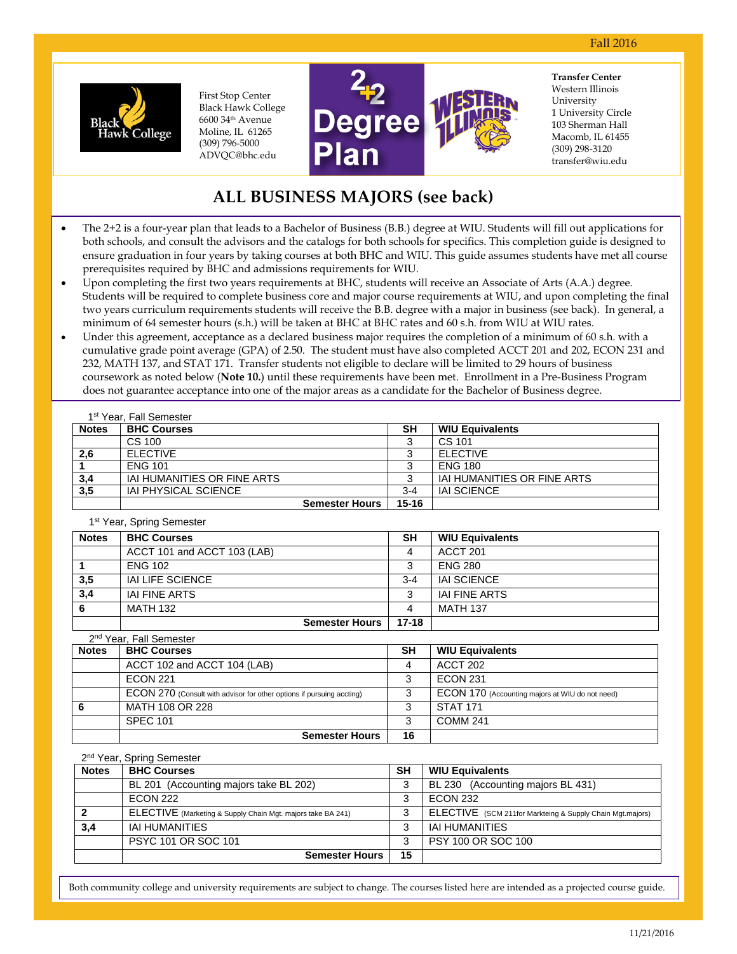

6600 34th Avenue 6600 34th Avenue<br>Moline, IL 61265 First Stop Center Black Hawk College (309) 796-5000 ADVQC@bhc.edu



University **Transfer Center**  Western Illinois 1 University Circle 103 Sherman Hall Macomb, IL 61455 (309) 298-3120 transfer@wiu.edu

# **ALL BUSINESS MAJORS (see back)**

- The 2+2 is a four-year plan that leads to a Bachelor of Business (B.B.) degree at WIU. Students will fill out applications for both schools, and consult the advisors and the catalogs for both schools for specifics. This completion guide is designed to ensure graduation in four years by taking courses at both BHC and WIU. This guide assumes students have met all course prerequisites required by BHC and admissions requirements for WIU.
- Upon completing the first two years requirements at BHC, students will receive an Associate of Arts (A.A.) degree. Students will be required to complete business core and major course requirements at WIU, and upon completing the final two years curriculum requirements students will receive the B.B. degree with a major in business (see back). In general, a minimum of 64 semester hours (s.h.) will be taken at BHC at BHC rates and 60 s.h. from WIU at WIU rates.
- Under this agreement, acceptance as a declared business major requires the completion of a minimum of 60 s.h. with a cumulative grade point average (GPA) of 2.50. The student must have also completed ACCT 201 and 202, ECON 231 and 232, MATH 137, and STAT 171. Transfer students not eligible to declare will be limited to 29 hours of business coursework as noted below (**Note 10.**) until these requirements have been met. Enrollment in a Pre-Business Program does not guarantee acceptance into one of the major areas as a candidate for the Bachelor of Business degree.

|              | 1 <sup>st</sup> Year, Fall Semester |           |                             |
|--------------|-------------------------------------|-----------|-----------------------------|
| <b>Notes</b> | <b>BHC Courses</b>                  | <b>SH</b> | <b>WIU Equivalents</b>      |
|              | CS 100                              |           | CS 101                      |
| 2,6          | <b>ELECTIVE</b>                     |           | <b>ELECTIVE</b>             |
|              | <b>FNG 101</b>                      |           | <b>ENG 180</b>              |
| 3,4          | IAI HUMANITIES OR FINE ARTS         |           | IAI HUMANITIES OR FINE ARTS |
| 3,5          | <b>IAI PHYSICAL SCIENCE</b>         | $3 - 4$   | <b>IAI SCIENCE</b>          |
|              | <b>Semester Hours</b>               | $15 - 16$ |                             |

1st Year, Spring Semester

| <b>Notes</b> | <b>BHC Courses</b>          | <b>SH</b> | <b>WIU Equivalents</b> |
|--------------|-----------------------------|-----------|------------------------|
|              | ACCT 101 and ACCT 103 (LAB) |           | ACCT 201               |
|              | <b>ENG 102</b>              |           | <b>FNG 280</b>         |
| 3,5          | IAI LIFE SCIENCE            | $3 - 4$   | IAI SCIENCE            |
| 3,4          | IAI FINE ARTS               |           | IAI FINE ARTS          |
| 6            | MATH 132                    |           | <b>MATH 137</b>        |
|              | Semester Hours              | $17 - 18$ |                        |

| 2 <sup>nd</sup> Year, Fall Semester |                                                                       |           |                                                 |  |  |  |  |
|-------------------------------------|-----------------------------------------------------------------------|-----------|-------------------------------------------------|--|--|--|--|
| <b>Notes</b>                        | <b>BHC Courses</b>                                                    | <b>SH</b> | <b>WIU Equivalents</b>                          |  |  |  |  |
|                                     | ACCT 102 and ACCT 104 (LAB)                                           |           | <b>ACCT 202</b>                                 |  |  |  |  |
|                                     | <b>ECON 221</b>                                                       |           | <b>ECON 231</b>                                 |  |  |  |  |
|                                     | ECON 270 (Consult with advisor for other options if pursuing accting) |           | ECON 170 (Accounting majors at WIU do not need) |  |  |  |  |
| 6                                   | MATH 108 OR 228                                                       |           | <b>STAT 171</b>                                 |  |  |  |  |
|                                     | <b>SPEC 101</b>                                                       | ິ         | <b>COMM 241</b>                                 |  |  |  |  |
|                                     | <b>Semester Hours</b>                                                 | 16        |                                                 |  |  |  |  |

## 2<sup>nd</sup> Year, Spring Semester

| <b>Notes</b> | <b>BHC Courses</b>                                          | <b>SH</b> | <b>WIU Equivalents</b>                                    |  |  |  |  |
|--------------|-------------------------------------------------------------|-----------|-----------------------------------------------------------|--|--|--|--|
|              | BL 201 (Accounting majors take BL 202)                      | 3         | BL 230 (Accounting majors BL 431)                         |  |  |  |  |
|              | <b>ECON 222</b>                                             | 3         | <b>ECON 232</b>                                           |  |  |  |  |
|              | ELECTIVE (Marketing & Supply Chain Mgt. majors take BA 241) | 3         | ELECTIVE (SCM 211for Markteing & Supply Chain Mgt.majors) |  |  |  |  |
| 3,4          | <b>IAI HUMANITIES</b>                                       | 3         | <b>IAI HUMANITIES</b>                                     |  |  |  |  |
|              | PSYC 101 OR SOC 101                                         | 3         | PSY 100 OR SOC 100                                        |  |  |  |  |
|              | <b>Semester Hours</b>                                       | 15        |                                                           |  |  |  |  |

Both community college and university requirements are subject to change. The courses listed here are intended as a projected course guide.